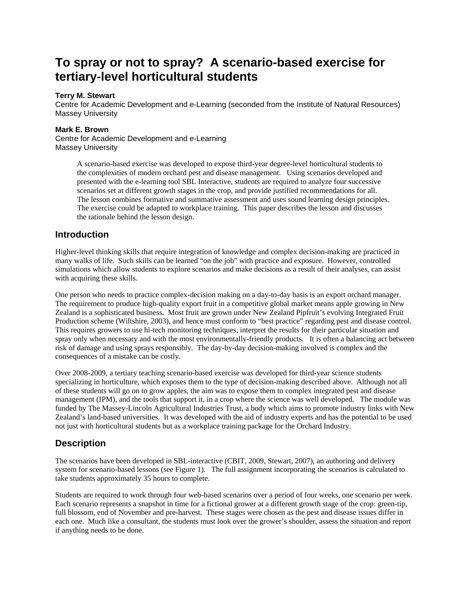# **To spray or not to spray? A scenario-based exercise for tertiary-level horticultural students**

#### **Terry M. Stewart**

Centre for Academic Development and e-Learning (seconded from the Institute of Natural Resources) Massey University

#### **Mark E. Brown**

Centre for Academic Development and e-Learning Massey University

> A scenario-based exercise was developed to expose third-year degree-level horticultural students to the complexities of modern orchard pest and disease management. Using scenarios developed and presented with the e-learning tool SBL Interactive, students are required to analyze four successive scenarios set at different growth stages in the crop, and provide justified recommendations for all. The lesson combines formative and summative assessment and uses sound learning design principles. The exercise could be adapted to workplace training. This paper describes the lesson and discusses the rationale behind the lesson design.

## **Introduction**

Higher-level thinking skills that require integration of knowledge and complex decision-making are practiced in many walks of life. Such skills can be learned "on the job" with practice and exposure. However, controlled simulations which allow students to explore scenarios and make decisions as a result of their analyses, can assist with acquiring these skills.

One person who needs to practice complex-decision making on a day-to-day basis is an export orchard manager. The requirement to produce high-quality export fruit in a competitive global market means apple growing in New Zealand is a sophisticated business. Most fruit are grown under New Zealand Pipfruit's evolving Integrated Fruit Production scheme (Wiltshire, 2003), and hence must conform to "best practice" regarding pest and disease control. This requires growers to use hi-tech monitoring techniques, interpret the results for their particular situation and spray only when necessary and with the most environmentally-friendly products. It is often a balancing act between risk of damage and using sprays responsibly. The day-by-day decision-making involved is complex and the consequences of a mistake can be costly.

Over 2008-2009, a tertiary teaching scenario-based exercise was developed for third-year science students specializing in horticulture, which exposes them to the type of decision-making described above. Although not all of these students will go on to grow apples, the aim was to expose them to complex integrated pest and disease management (IPM), and the tools that support it, in a crop where the science was well developed. The module was funded by The Massey-Lincoln Agricultural Industries Trust, a body which aims to promote industry links with New Zealand's land-based universities. It was developed with the aid of industry experts and has the potential to be used not just with horticultural students but as a workplace training package for the Orchard Industry.

# **Description**

The scenarios have been developed in SBL-interactive (CBIT, 2009, Stewart, 2007), an authoring and delivery system for scenario-based lessons (see Figure 1). The full assignment incorporating the scenarios is calculated to take students approximately 35 hours to complete.

Students are required to work through four web-based scenarios over a period of four weeks, one scenario per week. Each scenario represents a snapshot in time for a fictional grower at a different growth stage of the crop: green-tip, full blossom, end of November and pre-harvest. These stages were chosen as the pest and disease issues differ in each one. Much like a consultant, the students must look over the grower's shoulder, assess the situation and report if anything needs to be done.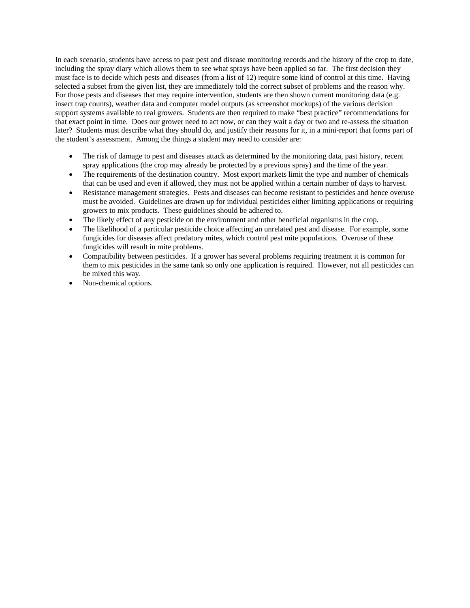In each scenario, students have access to past pest and disease monitoring records and the history of the crop to date, including the spray diary which allows them to see what sprays have been applied so far. The first decision they must face is to decide which pests and diseases (from a list of 12) require some kind of control at this time. Having selected a subset from the given list, they are immediately told the correct subset of problems and the reason why. For those pests and diseases that may require intervention, students are then shown current monitoring data (e.g. insect trap counts), weather data and computer model outputs (as screenshot mockups) of the various decision support systems available to real growers. Students are then required to make "best practice" recommendations for that exact point in time. Does our grower need to act now, or can they wait a day or two and re-assess the situation later? Students must describe what they should do, and justify their reasons for it, in a mini-report that forms part of the student's assessment. Among the things a student may need to consider are:

- The risk of damage to pest and diseases attack as determined by the monitoring data, past history, recent spray applications (the crop may already be protected by a previous spray) and the time of the year.
- The requirements of the destination country. Most export markets limit the type and number of chemicals that can be used and even if allowed, they must not be applied within a certain number of days to harvest.
- Resistance management strategies. Pests and diseases can become resistant to pesticides and hence overuse must be avoided. Guidelines are drawn up for individual pesticides either limiting applications or requiring growers to mix products. These guidelines should be adhered to.
- The likely effect of any pesticide on the environment and other beneficial organisms in the crop.
- The likelihood of a particular pesticide choice affecting an unrelated pest and disease. For example, some fungicides for diseases affect predatory mites, which control pest mite populations. Overuse of these fungicides will result in mite problems.
- Compatibility between pesticides. If a grower has several problems requiring treatment it is common for them to mix pesticides in the same tank so only one application is required. However, not all pesticides can be mixed this way.
- Non-chemical options.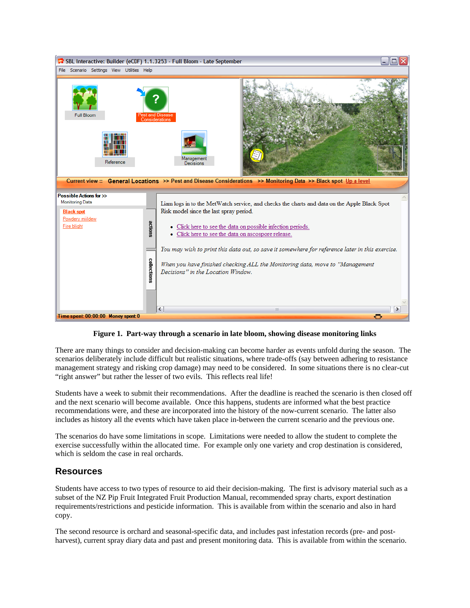

**Figure 1. Part-way through a scenario in late bloom, showing disease monitoring links** 

There are many things to consider and decision-making can become harder as events unfold during the season. The scenarios deliberately include difficult but realistic situations, where trade-offs (say between adhering to resistance management strategy and risking crop damage) may need to be considered. In some situations there is no clear-cut "right answer" but rather the lesser of two evils. This reflects real life!

Students have a week to submit their recommendations. After the deadline is reached the scenario is then closed off and the next scenario will become available. Once this happens, students are informed what the best practice recommendations were, and these are incorporated into the history of the now-current scenario. The latter also includes as history all the events which have taken place in-between the current scenario and the previous one.

The scenarios do have some limitations in scope. Limitations were needed to allow the student to complete the exercise successfully within the allocated time. For example only one variety and crop destination is considered, which is seldom the case in real orchards.

### **Resources**

Students have access to two types of resource to aid their decision-making. The first is advisory material such as a subset of the NZ Pip Fruit Integrated Fruit Production Manual, recommended spray charts, export destination requirements/restrictions and pesticide information. This is available from within the scenario and also in hard copy.

The second resource is orchard and seasonal-specific data, and includes past infestation records (pre- and postharvest), current spray diary data and past and present monitoring data. This is available from within the scenario.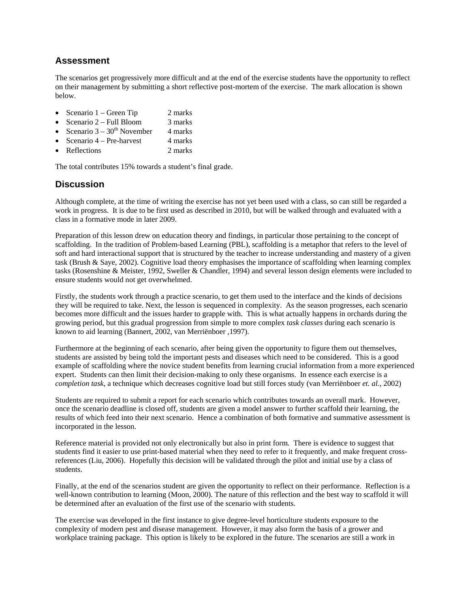## **Assessment**

The scenarios get progressively more difficult and at the end of the exercise students have the opportunity to reflect on their management by submitting a short reflective post-mortem of the exercise. The mark allocation is shown below.

- Scenario  $1 \text{Green Tip}$  2 marks
- Scenario 2 Full Bloom 3 marks
- Scenario  $3 30<sup>th</sup>$  November 4 marks
- Scenario  $4$  Pre-harvest 4 marks
- Reflections 2 marks

The total contributes 15% towards a student's final grade.

## **Discussion**

Although complete, at the time of writing the exercise has not yet been used with a class, so can still be regarded a work in progress. It is due to be first used as described in 2010, but will be walked through and evaluated with a class in a formative mode in later 2009.

Preparation of this lesson drew on education theory and findings, in particular those pertaining to the concept of scaffolding. In the tradition of Problem-based Learning (PBL), scaffolding is a metaphor that refers to the level of soft and hard interactional support that is structured by the teacher to increase understanding and mastery of a given task (Brush & Saye, 2002). Cognitive load theory emphasises the importance of scaffolding when learning complex tasks (Rosenshine & Meister, 1992, Sweller & Chandler, 1994) and several lesson design elements were included to ensure students would not get overwhelmed.

Firstly, the students work through a practice scenario, to get them used to the interface and the kinds of decisions they will be required to take. Next, the lesson is sequenced in complexity. As the season progresses, each scenario becomes more difficult and the issues harder to grapple with. This is what actually happens in orchards during the growing period, but this gradual progression from simple to more complex *task classes* during each scenario is known to aid learning (Bannert, 2002, van Merriënboer ,1997).

Furthermore at the beginning of each scenario, after being given the opportunity to figure them out themselves, students are assisted by being told the important pests and diseases which need to be considered. This is a good example of scaffolding where the novice student benefits from learning crucial information from a more experienced expert. Students can then limit their decision-making to only these organisms. In essence each exercise is a *completion task*, a technique which decreases cognitive load but still forces study (van Merriënboer *et. al.,* 2002)

Students are required to submit a report for each scenario which contributes towards an overall mark. However, once the scenario deadline is closed off, students are given a model answer to further scaffold their learning, the results of which feed into their next scenario. Hence a combination of both formative and summative assessment is incorporated in the lesson.

Reference material is provided not only electronically but also in print form. There is evidence to suggest that students find it easier to use print-based material when they need to refer to it frequently, and make frequent crossreferences (Liu, 2006). Hopefully this decision will be validated through the pilot and initial use by a class of students.

Finally, at the end of the scenarios student are given the opportunity to reflect on their performance. Reflection is a well-known contribution to learning (Moon, 2000). The nature of this reflection and the best way to scaffold it will be determined after an evaluation of the first use of the scenario with students.

The exercise was developed in the first instance to give degree-level horticulture students exposure to the complexity of modern pest and disease management. However, it may also form the basis of a grower and workplace training package. This option is likely to be explored in the future. The scenarios are still a work in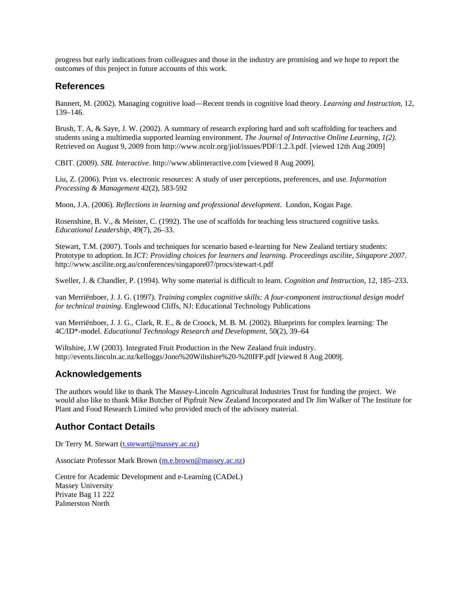progress but early indications from colleagues and those in the industry are promising and we hope to report the outcomes of this project in future accounts of this work.

#### **References**

Bannert, M. (2002). Managing cognitive load—Recent trends in cognitive load theory. *Learning and Instruction*, 12, 139–146.

Brush, T. A, & Saye, J. W. (2002). A summary of research exploring hard and soft scaffolding for teachers and students using a multimedia supported learning environment. *The Journal of Interactive Online Learning*, *1(2)*. Retrieved on August 9, 2009 from http://www.ncolr.org/jiol/issues/PDF/1.2.3.pdf. [viewed 12th Aug 2009]

CBIT. (2009). *SBL Interactive*. http://www.sblinteractive.com [viewed 8 Aug 2009].

Liu, Z. (2006). Print vs. electronic resources: A study of user perceptions, preferences, and use. *Information Processing & Management* 42(2), 583-592

Moon, J.A. (2006). *Reflections in learning and professional development*. London, Kogan Page.

Rosenshine, B. V., & Meister, C. (1992). The use of scaffolds for teaching less structured cognitive tasks. *Educational Leadership*, 49(7), 26–33.

Stewart, T.M. (2007). Tools and techniques for scenario based e-learning for New Zealand tertiary students: Prototype to adoption. In *ICT: Providing choices for learners and learning. Proceedings ascilite, Singapore 2007*. http://www.ascilite.org.au/conferences/singapore07/procs/stewart-t.pdf

Sweller, J. & Chandler, P. (1994). Why some material is difficult to learn. *Cognition and Instruction*, 12, 185–233.

van Merriënboer, J. J. G. (1997). *Training complex cognitive skills: A four-component instructional design model for technical training*. Englewood Cliffs, NJ: Educational Technology Publications

van Merriënboer, J. J. G., Clark, R. E., & de Croock, M. B. M. (2002). Blueprints for complex learning: The 4C/ID\*-model. *Educational Technology Research and Development*, 50(2), 39–64

Wiltshire, J.W (2003). Integrated Fruit Production in the New Zealand fruit industry. http://events.lincoln.ac.nz/kelloggs/Jono%20Wiltshire%20-%20IFP.pdf [viewed 8 Aug 2009].

# **Acknowledgements**

The authors would like to thank The Massey-Lincoln Agricultural Industries Trust for funding the project. We would also like to thank Mike Butcher of Pipfruit New Zealand Incorporated and Dr Jim Walker of The Institute for Plant and Food Research Limited who provided much of the advisory material.

# **Author Contact Details**

Dr Terry M. Stewart (t.stewart@massey.ac.nz)

Associate Professor Mark Brown (m.e.brown@massey.ac.nz)

Centre for Academic Development and e-Learning (CADeL) Massey University Private Bag 11 222 Palmerston North